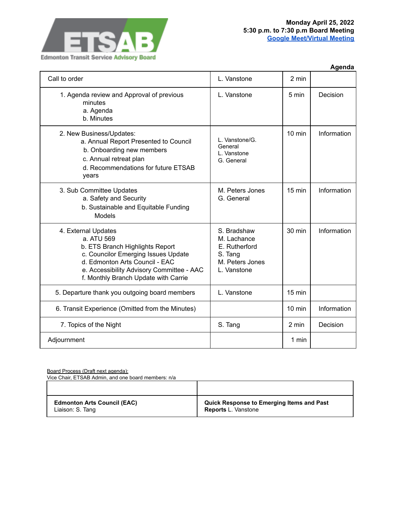

|                                                                                                                                                                                                                                    |                                                                                          |                  | Agenda      |
|------------------------------------------------------------------------------------------------------------------------------------------------------------------------------------------------------------------------------------|------------------------------------------------------------------------------------------|------------------|-------------|
| Call to order                                                                                                                                                                                                                      | L. Vanstone                                                                              | 2 min            |             |
| 1. Agenda review and Approval of previous<br>minutes<br>a. Agenda<br>b. Minutes                                                                                                                                                    | L. Vanstone                                                                              | $5 \text{ min}$  | Decision    |
| 2. New Business/Updates:<br>a. Annual Report Presented to Council<br>b. Onboarding new members<br>c. Annual retreat plan<br>d. Recommendations for future ETSAB<br>years                                                           | L. Vanstone/G.<br>General<br>L. Vanstone<br>G. General                                   | $10 \text{ min}$ | Information |
| 3. Sub Committee Updates<br>a. Safety and Security<br>b. Sustainable and Equitable Funding<br>Models                                                                                                                               | M. Peters Jones<br>G. General                                                            | $15 \text{ min}$ | Information |
| 4. External Updates<br>a. ATU 569<br>b. ETS Branch Highlights Report<br>c. Councilor Emerging Issues Update<br>d. Edmonton Arts Council - EAC<br>e. Accessibility Advisory Committee - AAC<br>f. Monthly Branch Update with Carrie | S. Bradshaw<br>M. Lachance<br>E. Rutherford<br>S. Tang<br>M. Peters Jones<br>L. Vanstone | 30 min           | Information |
| 5. Departure thank you outgoing board members                                                                                                                                                                                      | L. Vanstone                                                                              | $15 \text{ min}$ |             |
| 6. Transit Experience (Omitted from the Minutes)                                                                                                                                                                                   |                                                                                          | $10 \text{ min}$ | Information |
| 7. Topics of the Night                                                                                                                                                                                                             | S. Tang                                                                                  | 2 min            | Decision    |
| Adjournment                                                                                                                                                                                                                        |                                                                                          | 1 min            |             |

Board Process (Draft next agenda):

Vice Chair, ETSAB Admin, and one board members: n/a

| <b>Edmonton Arts Council (EAC)</b> | <b>Quick Response to Emerging Items and Past</b> |
|------------------------------------|--------------------------------------------------|
| Liaison: S. Tang                   | <b>Reports L. Vanstone</b>                       |